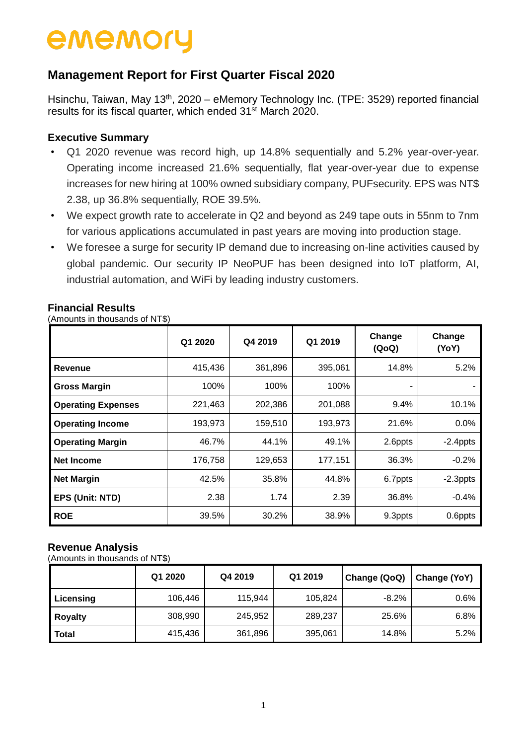### **Management Report for First Quarter Fiscal 2020**

Hsinchu, Taiwan, May 13<sup>th</sup>, 2020 – eMemory Technology Inc. (TPE: 3529) reported financial results for its fiscal quarter, which ended 31<sup>st</sup> March 2020.

#### **Executive Summary**

- Q1 2020 revenue was record high, up 14.8% sequentially and 5.2% year-over-year. Operating income increased 21.6% sequentially, flat year-over-year due to expense increases for new hiring at 100% owned subsidiary company, PUFsecurity. EPS was NT\$ 2.38, up 36.8% sequentially, ROE 39.5%.
- We expect growth rate to accelerate in Q2 and beyond as 249 tape outs in 55nm to 7nm for various applications accumulated in past years are moving into production stage.
- We foresee a surge for security IP demand due to increasing on-line activities caused by global pandemic. Our security IP NeoPUF has been designed into IoT platform, AI, industrial automation, and WiFi by leading industry customers.

| $(7.0110$ and $0.11000$ and $0.1111$ |         |         |         |                 |                 |
|--------------------------------------|---------|---------|---------|-----------------|-----------------|
|                                      | Q1 2020 | Q4 2019 | Q1 2019 | Change<br>(QoQ) | Change<br>(YoY) |
| <b>Revenue</b>                       | 415,436 | 361,896 | 395,061 | 14.8%           | 5.2%            |
| <b>Gross Margin</b>                  | 100%    | 100%    | 100%    |                 |                 |
| <b>Operating Expenses</b>            | 221,463 | 202,386 | 201,088 | 9.4%            | 10.1%           |
| <b>Operating Income</b>              | 193,973 | 159,510 | 193,973 | 21.6%           | 0.0%            |
| <b>Operating Margin</b>              | 46.7%   | 44.1%   | 49.1%   | 2.6ppts         | $-2.4$ ppts     |
| Net Income                           | 176,758 | 129,653 | 177,151 | 36.3%           | $-0.2%$         |
| <b>Net Margin</b>                    | 42.5%   | 35.8%   | 44.8%   | 6.7ppts         | $-2.3$ ppts     |
| EPS (Unit: NTD)                      | 2.38    | 1.74    | 2.39    | 36.8%           | $-0.4%$         |
| <b>ROE</b>                           | 39.5%   | 30.2%   | 38.9%   | 9.3ppts         | 0.6ppts         |

#### **Financial Results**

(Amounts in thousands of NT\$)

#### **Revenue Analysis**

(Amounts in thousands of NT\$)

|                | Q1 2020 | Q4 2019 | Q1 2019 | Change (QoQ) | Change (YoY) |
|----------------|---------|---------|---------|--------------|--------------|
| Licensing      | 106,446 | 115,944 | 105,824 | $-8.2%$      | $0.6\%$      |
| <b>Royalty</b> | 308,990 | 245,952 | 289,237 | 25.6%        | 6.8%         |
| <b>Total</b>   | 415,436 | 361,896 | 395,061 | 14.8%        | 5.2%         |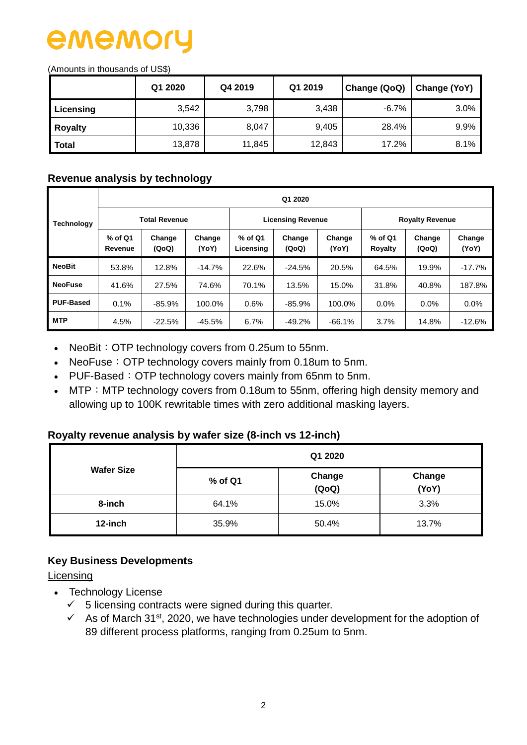(Amounts in thousands of US\$)

|                | Q1 2020 | Q4 2019 | Q1 2019 | Change (QoQ) | Change (YoY) |  |
|----------------|---------|---------|---------|--------------|--------------|--|
| Licensing      | 3,542   | 3,798   | 3,438   | $-6.7%$      | 3.0%         |  |
| <b>Royalty</b> | 10,336  | 8,047   | 9,405   | 28.4%        | 9.9%         |  |
| <b>Total</b>   | 13,878  | 11,845  | 12,843  | 17.2%        | 8.1%         |  |

#### **Revenue analysis by technology**

|                   | Q1 2020            |                      |                 |                      |                          |                 |                        |                 |                 |  |  |
|-------------------|--------------------|----------------------|-----------------|----------------------|--------------------------|-----------------|------------------------|-----------------|-----------------|--|--|
| <b>Technology</b> |                    | <b>Total Revenue</b> |                 |                      | <b>Licensing Revenue</b> |                 | <b>Royalty Revenue</b> |                 |                 |  |  |
|                   | % of Q1<br>Revenue | Change<br>(QoQ)      | Change<br>(YoY) | % of Q1<br>Licensing | Change<br>(QoQ)          | Change<br>(YoY) | $%$ of Q1<br>Royalty   | Change<br>(QoQ) | Change<br>(YoY) |  |  |
| <b>NeoBit</b>     | 53.8%              | 12.8%                | $-14.7%$        | 22.6%                | $-24.5%$                 | 20.5%           | 64.5%                  | 19.9%           | $-17.7%$        |  |  |
| <b>NeoFuse</b>    | 41.6%              | 27.5%                | 74.6%           | 70.1%                | 13.5%                    | 15.0%           | 31.8%                  | 40.8%           | 187.8%          |  |  |
| <b>PUF-Based</b>  | 0.1%               | $-85.9%$             | 100.0%          | 0.6%                 | $-85.9%$                 | 100.0%          | 0.0%                   | $0.0\%$         | 0.0%            |  |  |
| <b>MTP</b>        | 4.5%               | $-22.5%$             | $-45.5%$        | 6.7%                 | $-49.2%$                 | $-66.1%$        | 3.7%                   | 14.8%           | $-12.6%$        |  |  |

- NeoBit: OTP technology covers from 0.25um to 55nm.
- NeoFuse: OTP technology covers mainly from 0.18um to 5nm.
- PUF-Based: OTP technology covers mainly from 65nm to 5nm.
- MTP: MTP technology covers from 0.18um to 55nm, offering high density memory and allowing up to 100K rewritable times with zero additional masking layers.

#### **Royalty revenue analysis by wafer size (8-inch vs 12-inch)**

|                   | Q1 2020 |                 |                 |  |  |  |  |
|-------------------|---------|-----------------|-----------------|--|--|--|--|
| <b>Wafer Size</b> | % of Q1 | Change<br>(QoQ) | Change<br>(YoY) |  |  |  |  |
| 8-inch            | 64.1%   | 15.0%           | 3.3%            |  |  |  |  |
| 12-inch           | 35.9%   | 50.4%           | 13.7%           |  |  |  |  |

### **Key Business Developments**

Licensing

- Technology License
	- $\checkmark$  5 licensing contracts were signed during this quarter.
	- $\checkmark$  As of March 31<sup>st</sup>, 2020, we have technologies under development for the adoption of 89 different process platforms, ranging from 0.25um to 5nm.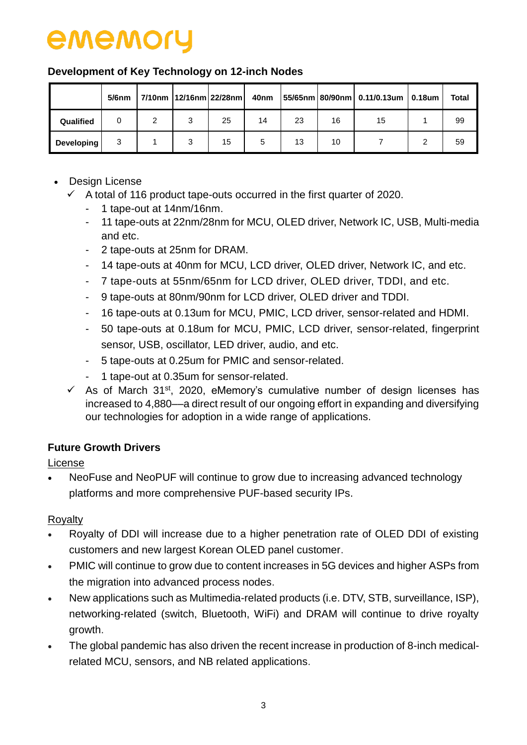### **Development of Key Technology on 12-inch Nodes**

|                   | $5/6$ nm |   | 7/10nm   12/16nm   22/28nm | 40nm |    |    | $ 55/65$ nm 80/90nm 0.11/0.13um 0.18um | <b>Total</b> |
|-------------------|----------|---|----------------------------|------|----|----|----------------------------------------|--------------|
| Qualified         |          | ີ | 25                         | 14   | 23 | 16 | 15                                     | 99           |
| <b>Developing</b> | 3        | 3 | 15                         | 5    | 13 | 10 |                                        | 59           |

- Design License
	- $\checkmark$  A total of 116 product tape-outs occurred in the first quarter of 2020.
		- 1 tape-out at 14nm/16nm.
		- 11 tape-outs at 22nm/28nm for MCU, OLED driver, Network IC, USB, Multi-media and etc.
		- 2 tape-outs at 25nm for DRAM.
		- 14 tape-outs at 40nm for MCU, LCD driver, OLED driver, Network IC, and etc.
		- 7 tape-outs at 55nm/65nm for LCD driver, OLED driver, TDDI, and etc.
		- 9 tape-outs at 80nm/90nm for LCD driver, OLED driver and TDDI.
		- 16 tape-outs at 0.13um for MCU, PMIC, LCD driver, sensor-related and HDMI.
		- 50 tape-outs at 0.18um for MCU, PMIC, LCD driver, sensor-related, fingerprint sensor, USB, oscillator, LED driver, audio, and etc.
		- 5 tape-outs at 0.25um for PMIC and sensor-related.
		- 1 tape-out at 0.35um for sensor-related.
	- $\checkmark$  As of March 31<sup>st</sup>, 2020, eMemory's cumulative number of design licenses has increased to 4,880––a direct result of our ongoing effort in expanding and diversifying our technologies for adoption in a wide range of applications.

### **Future Growth Drivers**

License

 NeoFuse and NeoPUF will continue to grow due to increasing advanced technology platforms and more comprehensive PUF-based security IPs.

### Royalty

- Royalty of DDI will increase due to a higher penetration rate of OLED DDI of existing customers and new largest Korean OLED panel customer.
- PMIC will continue to grow due to content increases in 5G devices and higher ASPs from the migration into advanced process nodes.
- New applications such as Multimedia-related products (i.e. DTV, STB, surveillance, ISP), networking-related (switch, Bluetooth, WiFi) and DRAM will continue to drive royalty growth.
- The global pandemic has also driven the recent increase in production of 8-inch medicalrelated MCU, sensors, and NB related applications.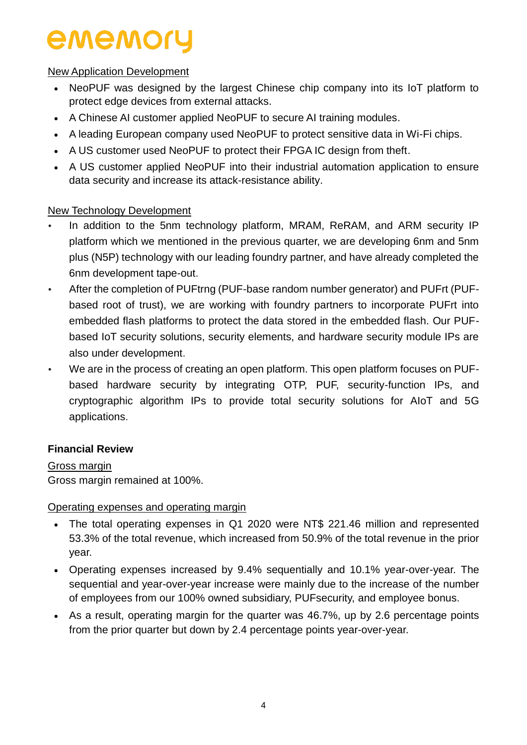### New Application Development

- NeoPUF was designed by the largest Chinese chip company into its IoT platform to protect edge devices from external attacks.
- A Chinese AI customer applied NeoPUF to secure AI training modules.
- A leading European company used NeoPUF to protect sensitive data in Wi-Fi chips.
- A US customer used NeoPUF to protect their FPGA IC design from theft.
- A US customer applied NeoPUF into their industrial automation application to ensure data security and increase its attack-resistance ability.

### New Technology Development

- In addition to the 5nm technology platform, MRAM, ReRAM, and ARM security IP platform which we mentioned in the previous quarter, we are developing 6nm and 5nm plus (N5P) technology with our leading foundry partner, and have already completed the 6nm development tape-out.
- After the completion of PUFtrng (PUF-base random number generator) and PUFrt (PUFbased root of trust), we are working with foundry partners to incorporate PUFrt into embedded flash platforms to protect the data stored in the embedded flash. Our PUFbased IoT security solutions, security elements, and hardware security module IPs are also under development.
- We are in the process of creating an open platform. This open platform focuses on PUFbased hardware security by integrating OTP, PUF, security-function IPs, and cryptographic algorithm IPs to provide total security solutions for AIoT and 5G applications.

#### **Financial Review**

Gross margin Gross margin remained at 100%.

#### Operating expenses and operating margin

- The total operating expenses in Q1 2020 were NT\$ 221.46 million and represented 53.3% of the total revenue, which increased from 50.9% of the total revenue in the prior year.
- Operating expenses increased by 9.4% sequentially and 10.1% year-over-year. The sequential and year-over-year increase were mainly due to the increase of the number of employees from our 100% owned subsidiary, PUFsecurity, and employee bonus.
- As a result, operating margin for the quarter was 46.7%, up by 2.6 percentage points from the prior quarter but down by 2.4 percentage points year-over-year.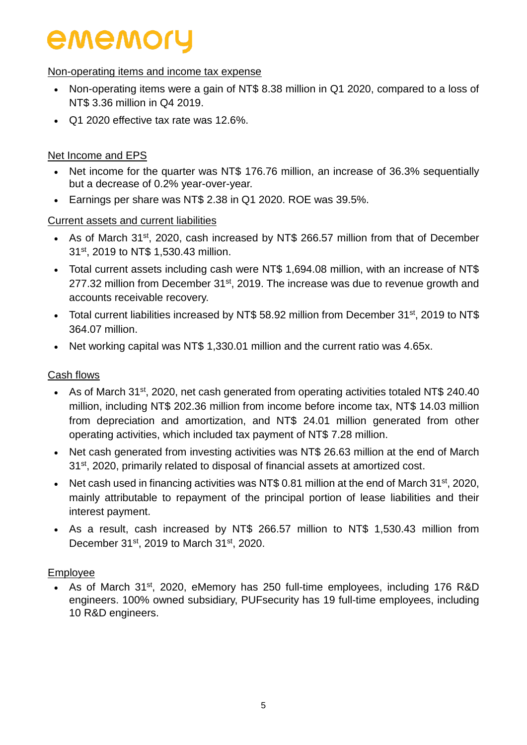#### Non-operating items and income tax expense

- Non-operating items were a gain of NT\$ 8.38 million in Q1 2020, compared to a loss of NT\$ 3.36 million in Q4 2019.
- Q1 2020 effective tax rate was 12.6%.

#### Net Income and EPS

- Net income for the quarter was NT\$ 176.76 million, an increase of 36.3% sequentially but a decrease of 0.2% year-over-year.
- Earnings per share was NT\$ 2.38 in Q1 2020. ROE was 39.5%.

#### Current assets and current liabilities

- As of March 31<sup>st</sup>, 2020, cash increased by NT\$ 266.57 million from that of December 31<sup>st</sup>, 2019 to NT\$ 1,530.43 million.
- Total current assets including cash were NT\$ 1,694.08 million, with an increase of NT\$ 277.32 million from December  $31<sup>st</sup>$ , 2019. The increase was due to revenue growth and accounts receivable recovery.
- Total current liabilities increased by NT\$ 58.92 million from December 31<sup>st</sup>, 2019 to NT\$ 364.07 million.
- Net working capital was NT\$ 1,330.01 million and the current ratio was 4.65x.

#### Cash flows

- As of March 31<sup>st</sup>, 2020, net cash generated from operating activities totaled NT\$ 240.40 million, including NT\$ 202.36 million from income before income tax, NT\$ 14.03 million from depreciation and amortization, and NT\$ 24.01 million generated from other operating activities, which included tax payment of NT\$ 7.28 million.
- Net cash generated from investing activities was NT\$ 26.63 million at the end of March 31<sup>st</sup>, 2020, primarily related to disposal of financial assets at amortized cost.
- Net cash used in financing activities was NT\$ 0.81 million at the end of March 31<sup>st</sup>, 2020, mainly attributable to repayment of the principal portion of lease liabilities and their interest payment.
- As a result, cash increased by NT\$ 266.57 million to NT\$ 1,530.43 million from December 31<sup>st</sup>, 2019 to March 31<sup>st</sup>, 2020.

#### Employee

• As of March 31<sup>st</sup>, 2020, eMemory has 250 full-time employees, including 176 R&D engineers. 100% owned subsidiary, PUFsecurity has 19 full-time employees, including 10 R&D engineers.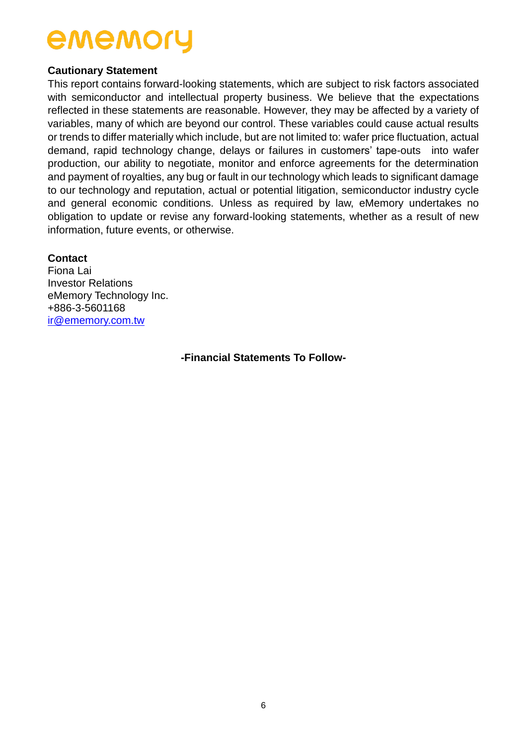#### **Cautionary Statement**

This report contains forward-looking statements, which are subject to risk factors associated with semiconductor and intellectual property business. We believe that the expectations reflected in these statements are reasonable. However, they may be affected by a variety of variables, many of which are beyond our control. These variables could cause actual results or trends to differ materially which include, but are not limited to: wafer price fluctuation, actual demand, rapid technology change, delays or failures in customers' tape-outs into wafer production, our ability to negotiate, monitor and enforce agreements for the determination and payment of royalties, any bug or fault in our technology which leads to significant damage to our technology and reputation, actual or potential litigation, semiconductor industry cycle and general economic conditions. Unless as required by law, eMemory undertakes no obligation to update or revise any forward-looking statements, whether as a result of new information, future events, or otherwise.

#### **Contact**

Fiona Lai Investor Relations eMemory Technology Inc. +886-3-5601168 [ir@ememory.com.tw](mailto:ir@ememory.com.tw)

**-Financial Statements To Follow-**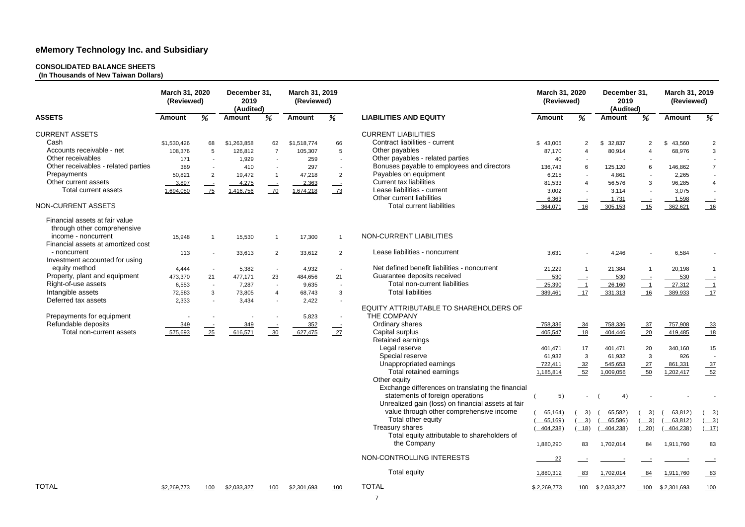#### **CONSOLIDATED BALANCE SHEETS**

**(In Thousands of New Taiwan Dollars)**

|                                                               | March 31, 2020<br>(Reviewed) |                | December 31,<br>2019<br>(Audited) |                | March 31, 2019<br>(Reviewed) |                          |                                                    | March 31, 2020<br>(Reviewed) |                          | December 31,<br>2019<br>(Audited) |                          | March 31, 2019<br>(Reviewed) |                          |
|---------------------------------------------------------------|------------------------------|----------------|-----------------------------------|----------------|------------------------------|--------------------------|----------------------------------------------------|------------------------------|--------------------------|-----------------------------------|--------------------------|------------------------------|--------------------------|
| <b>ASSETS</b>                                                 | <b>Amount</b>                | %              | <b>Amount</b>                     | %              | <b>Amount</b>                | %                        | <b>LIABILITIES AND EQUITY</b>                      | <b>Amount</b>                | %                        | <b>Amount</b>                     | %                        | <b>Amount</b>                | %                        |
| <b>CURRENT ASSETS</b>                                         |                              |                |                                   |                |                              |                          | <b>CURRENT LIABILITIES</b>                         |                              |                          |                                   |                          |                              |                          |
| Cash                                                          | \$1,530,426                  | 68             | \$1,263,858                       | 62             | \$1,518,774                  | 66                       | Contract liabilities - current                     | \$43,005                     | 2                        | 32,837<br>\$                      | 2                        | \$<br>43,560                 | $\overline{2}$           |
| Accounts receivable - net                                     | 108,376                      | 5              | 126,812                           | $\overline{7}$ | 105,307                      | 5                        | Other payables                                     | 87,170                       | 4                        | 80,914                            |                          | 68,976                       | 3                        |
| Other receivables                                             | 171                          | $\overline{a}$ | 1,929                             | $\sim$         | 259                          | $\blacksquare$           | Other payables - related parties                   | 40                           | $\blacksquare$           |                                   | $\overline{\phantom{a}}$ |                              |                          |
| Other receivables - related parties                           | 389                          | $\overline{a}$ | 410                               | $\sim$         | 297                          | $\sim$                   | Bonuses payable to employees and directors         | 136,743                      | 6                        | 125,120                           | 6                        | 146,862                      | $\overline{7}$           |
| Prepayments                                                   | 50,821                       | $\overline{2}$ | 19,472                            | $\overline{1}$ | 47,218                       | $\overline{2}$           | Payables on equipment                              | 6,215                        | $\sim$                   | 4,861                             |                          | 2,265                        | $\sim$                   |
| Other current assets                                          | 3,897                        |                | 4,275                             |                | 2,363                        |                          | <b>Current tax liabilities</b>                     | 81,533                       | $\overline{4}$           | 56,576                            | 3                        | 96,285                       | $\overline{4}$           |
| <b>Total current assets</b>                                   | 1,694,080                    | $\equiv$<br>75 | 1,416,756                         | $\equiv$<br>70 | 1,674,218                    | $\frac{73}{ }$           | Lease liabilities - current                        | 3,002                        | $\sim$                   | 3,114                             |                          | 3,075                        |                          |
|                                                               |                              |                |                                   |                |                              |                          | Other current liabilities                          | 6,363                        |                          | 1,731                             |                          | 1,598                        |                          |
| NON-CURRENT ASSETS                                            |                              |                |                                   |                |                              |                          | <b>Total current liabilities</b>                   | 364,071                      | 16                       | 305,153                           | 15                       | 362,621                      | 16                       |
| Financial assets at fair value<br>through other comprehensive |                              |                |                                   |                |                              |                          |                                                    |                              |                          |                                   |                          |                              |                          |
| income - noncurrent                                           | 15,948                       | -1             | 15,530                            | -1             | 17,300                       | $\overline{\mathbf{1}}$  | NON-CURRENT LIABILITIES                            |                              |                          |                                   |                          |                              |                          |
| Financial assets at amortized cost                            |                              |                |                                   |                |                              |                          |                                                    |                              |                          |                                   |                          |                              |                          |
| - noncurrent                                                  | 113                          |                | 33,613                            | $\overline{2}$ | 33,612                       | $\overline{2}$           | Lease liabilities - noncurrent                     | 3,631                        |                          | 4,246                             |                          | 6,584                        |                          |
| Investment accounted for using                                |                              |                |                                   |                |                              |                          |                                                    |                              |                          |                                   |                          |                              |                          |
| equity method                                                 | 4,444                        | $\sim$         | 5,382                             | $\sim$         | 4,932                        | $\sim$                   | Net defined benefit liabilities - noncurrent       | 21,229                       |                          | 21,384                            |                          | 20,198                       |                          |
| Property, plant and equipment                                 | 473,370                      | 21             | 477,171                           | 23             | 484,656                      | 21                       | Guarantee deposits received                        | 530                          | $\equiv$                 | 530                               |                          | 530                          |                          |
| Right-of-use assets                                           | 6,553                        | $\sim$         | 7,287                             | $\sim$         | 9,635                        | $\sim$                   | Total non-current liabilities                      | 25,390                       | $\overline{\phantom{0}}$ | 26,160                            |                          | 27,312                       | $\overline{\phantom{0}}$ |
| Intangible assets                                             | 72,583                       | 3              | 73,805                            | $\overline{4}$ | 68,743                       | $\mathbf{3}$             | <b>Total liabilities</b>                           | 389,461                      | 17                       | 331,313                           | 16                       | 389,933                      | 17                       |
| Deferred tax assets                                           | 2,333                        |                | 3,434                             | $\sim$         | 2,422                        | $\overline{\phantom{a}}$ |                                                    |                              |                          |                                   |                          |                              |                          |
|                                                               |                              |                |                                   |                |                              |                          | EQUITY ATTRIBUTABLE TO SHAREHOLDERS OF             |                              |                          |                                   |                          |                              |                          |
| Prepayments for equipment                                     |                              |                |                                   |                | 5,823                        | $\sim$                   | THE COMPANY                                        |                              |                          |                                   |                          |                              |                          |
| Refundable deposits                                           | 349                          |                | 349                               |                | 352                          |                          | Ordinary shares                                    | 758,336                      | $-34$                    | 758,336                           | $\frac{37}{2}$           | 757,908                      | $-33$                    |
| Total non-current assets                                      | 575,693                      | 25             | 616,571                           | 30             | 627,475                      | 27                       | Capital surplus                                    | 405,547                      | 18                       | 404,446                           | 20                       | 419,485                      |                          |
|                                                               |                              |                |                                   |                |                              |                          | Retained earnings                                  |                              |                          |                                   |                          |                              |                          |
|                                                               |                              |                |                                   |                |                              |                          | Legal reserve                                      | 401,471                      | 17                       | 401,471                           | 20                       | 340,160                      | 15                       |
|                                                               |                              |                |                                   |                |                              |                          | Special reserve                                    | 61,932                       | 3                        | 61,932                            | 3                        | 926                          |                          |
|                                                               |                              |                |                                   |                |                              |                          | Unappropriated earnings                            | 722,411                      | $-32$                    | 545,653                           | $-27$                    | 861,331                      | $\frac{37}{2}$           |
|                                                               |                              |                |                                   |                |                              |                          | Total retained earnings                            | 1,185,814                    | $-52$                    | 1,009,056                         | $-50$                    | 1,202,417                    | $-52$                    |
|                                                               |                              |                |                                   |                |                              |                          | Other equity                                       |                              |                          |                                   |                          |                              |                          |
|                                                               |                              |                |                                   |                |                              |                          | Exchange differences on translating the financial  |                              |                          |                                   |                          |                              |                          |
|                                                               |                              |                |                                   |                |                              |                          | statements of foreign operations                   | 5)                           |                          | 4)                                |                          |                              |                          |
|                                                               |                              |                |                                   |                |                              |                          | Unrealized gain (loss) on financial assets at fair |                              |                          |                                   |                          |                              |                          |
|                                                               |                              |                |                                   |                |                              |                          | value through other comprehensive income           | 65,164)                      | $\frac{3}{2}$            | 65,582)                           | <u>3</u> )               | 63,812)                      | <u>3</u> )               |
|                                                               |                              |                |                                   |                |                              |                          | Total other equity                                 | 65,169)                      | $\frac{3}{2}$            | 65,586)                           | $\frac{3}{2}$            | 63,812)                      | $\frac{3}{2}$            |
|                                                               |                              |                |                                   |                |                              |                          | Treasury shares                                    | 404,238)                     | 18)                      | 404,238)                          | 20)                      | 404,238)                     | $\frac{17}{2}$           |
|                                                               |                              |                |                                   |                |                              |                          | Total equity attributable to shareholders of       |                              |                          |                                   |                          |                              |                          |
|                                                               |                              |                |                                   |                |                              |                          | the Company                                        | 1,880,290                    | 83                       | 1,702,014                         | 84                       | 1,911,760                    | 83                       |
|                                                               |                              |                |                                   |                |                              |                          | NON-CONTROLLING INTERESTS                          | 22                           |                          |                                   |                          |                              |                          |
|                                                               |                              |                |                                   |                |                              |                          | <b>Total equity</b>                                | 1,880,312                    | $-83$                    | 1,702,014                         | $\underline{84}$         | 1,911,760                    | $-83$                    |
| <b>TOTAL</b>                                                  | \$2,269,773                  | <u> 100</u>    | \$2,033,327                       | 100            | <u>\$2,301,693</u>           | 100                      | <b>TOTAL</b>                                       | \$2,269,773                  | 100                      | <u>\$2,033,327</u>                | 100                      | \$2,301,693                  | 100                      |
|                                                               |                              |                |                                   |                |                              |                          | $\overline{7}$                                     |                              |                          |                                   |                          |                              |                          |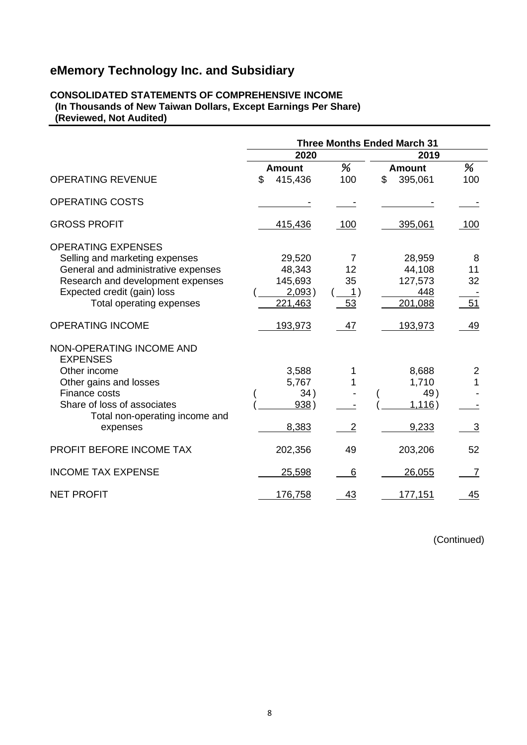#### **CONSOLIDATED STATEMENTS OF COMPREHENSIVE INCOME (In Thousands of New Taiwan Dollars, Except Earnings Per Share) (Reviewed, Not Audited)**

|                                                                                                                                                                                                    | <b>Three Months Ended March 31</b> |                                                  |                                      |    |                                               |                     |  |
|----------------------------------------------------------------------------------------------------------------------------------------------------------------------------------------------------|------------------------------------|--------------------------------------------------|--------------------------------------|----|-----------------------------------------------|---------------------|--|
|                                                                                                                                                                                                    |                                    | 2020                                             |                                      |    | 2019                                          |                     |  |
|                                                                                                                                                                                                    |                                    | <b>Amount</b>                                    | %                                    |    | <b>Amount</b>                                 | %                   |  |
| <b>OPERATING REVENUE</b>                                                                                                                                                                           | \$                                 | 415,436                                          | 100                                  | \$ | 395,061                                       | 100                 |  |
| <b>OPERATING COSTS</b>                                                                                                                                                                             |                                    |                                                  |                                      |    |                                               |                     |  |
| <b>GROSS PROFIT</b>                                                                                                                                                                                |                                    | 415,436                                          | 100                                  |    | 395,061                                       | 100                 |  |
| <b>OPERATING EXPENSES</b><br>Selling and marketing expenses<br>General and administrative expenses<br>Research and development expenses<br>Expected credit (gain) loss<br>Total operating expenses |                                    | 29,520<br>48,343<br>145,693<br>2,093)<br>221,463 | 7<br>12<br>35<br>$\frac{1}{2}$<br>53 |    | 28,959<br>44,108<br>127,573<br>448<br>201,088 | 8<br>11<br>32<br>51 |  |
| <b>OPERATING INCOME</b>                                                                                                                                                                            |                                    | 193,973                                          | 47                                   |    | 193,973                                       | 49                  |  |
| NON-OPERATING INCOME AND<br><b>EXPENSES</b><br>Other income<br>Other gains and losses<br>Finance costs<br>Share of loss of associates<br>Total non-operating income and<br>expenses                |                                    | 3,588<br>5,767<br>34)<br>938)<br>8,383           | 1<br>$\overline{2}$                  |    | 8,688<br>1,710<br>49)<br>1,116)<br>9,233      | 2<br>3              |  |
| PROFIT BEFORE INCOME TAX                                                                                                                                                                           |                                    | 202,356                                          | 49                                   |    | 203,206                                       | 52                  |  |
| <b>INCOME TAX EXPENSE</b>                                                                                                                                                                          |                                    | 25,598                                           | 6                                    |    | 26,055                                        | 7                   |  |
| <b>NET PROFIT</b>                                                                                                                                                                                  |                                    | 176,758                                          | 43                                   |    | 177,151                                       | 45                  |  |

(Continued)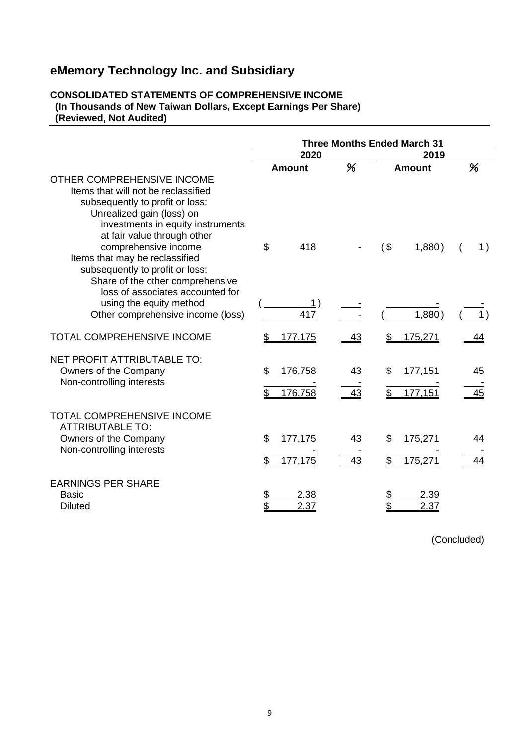#### **CONSOLIDATED STATEMENTS OF COMPREHENSIVE INCOME (In Thousands of New Taiwan Dollars, Except Earnings Per Share) (Reviewed, Not Audited)**

|                                                                                                                                                                                                  |                 |                    |          | <b>Three Months Ended March 31</b> |                     |  |          |  |
|--------------------------------------------------------------------------------------------------------------------------------------------------------------------------------------------------|-----------------|--------------------|----------|------------------------------------|---------------------|--|----------|--|
|                                                                                                                                                                                                  |                 | 2020               |          |                                    | 2019                |  |          |  |
| OTHER COMPREHENSIVE INCOME<br>Items that will not be reclassified<br>subsequently to profit or loss:<br>Unrealized gain (loss) on<br>investments in equity instruments                           |                 | <b>Amount</b>      | %        |                                    | <b>Amount</b>       |  | %        |  |
| at fair value through other<br>comprehensive income<br>Items that may be reclassified<br>subsequently to profit or loss:<br>Share of the other comprehensive<br>loss of associates accounted for | \$              | 418                |          | $($ \$                             | 1,880)              |  | 1)       |  |
| using the equity method<br>Other comprehensive income (loss)                                                                                                                                     |                 | 1)<br>417          |          |                                    | 1,880)              |  |          |  |
| <b>TOTAL COMPREHENSIVE INCOME</b>                                                                                                                                                                | \$              | 177,175            | 43       |                                    | 175,271             |  | 44       |  |
| NET PROFIT ATTRIBUTABLE TO:<br>Owners of the Company<br>Non-controlling interests                                                                                                                | \$<br>\$        | 176,758<br>176,758 | 43<br>43 | \$<br>\$                           | 177,151<br>177,151  |  | 45<br>45 |  |
| <b>TOTAL COMPREHENSIVE INCOME</b><br><b>ATTRIBUTABLE TO:</b><br>Owners of the Company<br>Non-controlling interests                                                                               | \$              | 177,175<br>177,175 | 43<br>43 | \$                                 | 175,271<br>175,271  |  | 44       |  |
| <b>EARNINGS PER SHARE</b><br><b>Basic</b><br><b>Diluted</b>                                                                                                                                      | <u>\$</u><br>\$ | 2.38<br>2.37       |          | <u>\$</u><br>\$                    | <u>2.39</u><br>2.37 |  |          |  |

(Concluded)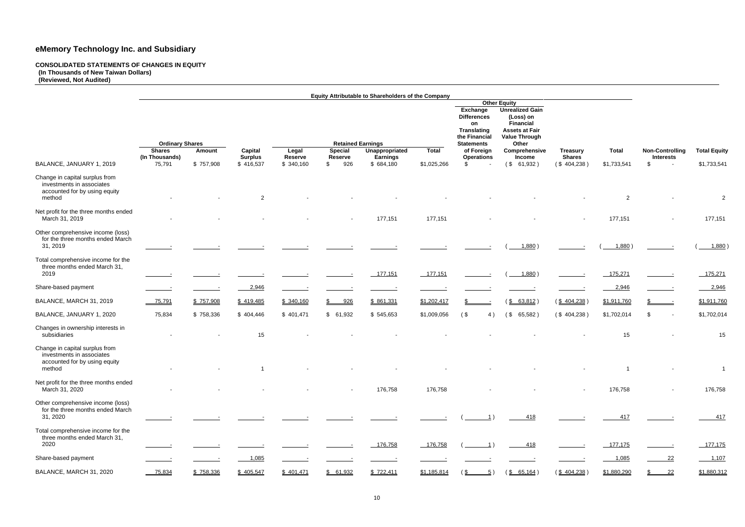#### **CONSOLIDATED STATEMENTS OF CHANGES IN EQUITY (In Thousands of New Taiwan Dollars)**

**(Reviewed, Not Audited)**

|                                                                                                        |                                         |           |                           |                  |                                            | Equity Attributable to Shareholders of the Company |              |                                                                             |                                                                                                                                 |                                  |                |                        |                     |
|--------------------------------------------------------------------------------------------------------|-----------------------------------------|-----------|---------------------------|------------------|--------------------------------------------|----------------------------------------------------|--------------|-----------------------------------------------------------------------------|---------------------------------------------------------------------------------------------------------------------------------|----------------------------------|----------------|------------------------|---------------------|
|                                                                                                        |                                         |           |                           |                  |                                            |                                                    |              | Exchange<br><b>Differences</b><br>on<br><b>Translating</b><br>the Financial | <b>Other Equity</b><br><b>Unrealized Gain</b><br>(Loss) on<br><b>Financial</b><br><b>Assets at Fair</b><br><b>Value Through</b> |                                  |                |                        |                     |
|                                                                                                        | <b>Ordinary Shares</b><br><b>Shares</b> |           |                           |                  | <b>Retained Earnings</b><br><b>Special</b> | Unappropriated                                     | <b>Total</b> | <b>Statements</b><br>of Foreign                                             | Other<br>Comprehensive                                                                                                          |                                  | <b>Total</b>   | <b>Non-Controlling</b> |                     |
|                                                                                                        | (In Thousands)                          | Amount    | Capital<br><b>Surplus</b> | Legal<br>Reserve | <b>Reserve</b>                             | <b>Earnings</b>                                    |              | <b>Operations</b>                                                           | Income                                                                                                                          | <b>Treasury</b><br><b>Shares</b> |                | <b>Interests</b>       | <b>Total Equity</b> |
| BALANCE, JANUARY 1, 2019                                                                               | 75,791                                  | \$757,908 | \$416,537                 | \$340,160        | \$<br>926                                  | \$ 684,180                                         | \$1,025,266  | \$                                                                          | $($ \$ 61,932)                                                                                                                  | (\$404,238)                      | \$1,733,541    | -\$<br>$\sim$          | \$1,733,541         |
| Change in capital surplus from<br>investments in associates<br>accounted for by using equity<br>method |                                         |           | 2                         |                  |                                            |                                                    |              |                                                                             |                                                                                                                                 |                                  | $\overline{2}$ |                        | $\overline{2}$      |
| Net profit for the three months ended<br>March 31, 2019                                                |                                         |           |                           |                  |                                            | 177,151                                            | 177,151      |                                                                             |                                                                                                                                 |                                  | 177,151        |                        | 177,151             |
| Other comprehensive income (loss)<br>for the three months ended March<br>31, 2019                      |                                         |           |                           |                  |                                            |                                                    |              |                                                                             | 1,880)                                                                                                                          |                                  | 1,880          |                        | 1,880               |
| Total comprehensive income for the<br>three months ended March 31,<br>2019                             |                                         |           |                           |                  |                                            | 177,151                                            | 177,151      |                                                                             | 1,880)                                                                                                                          |                                  | 175,271        |                        | 175,271             |
| Share-based payment                                                                                    |                                         |           | 2,946                     |                  |                                            |                                                    |              |                                                                             |                                                                                                                                 |                                  | 2,946          |                        | 2,946               |
| BALANCE, MARCH 31, 2019                                                                                | $-75,791$                               | \$757,908 | \$419,485                 | \$ 340,160       | 926<br>S.                                  | \$861,331                                          | \$1,202,417  |                                                                             | $(\frac{$8, 63, 812}{$                                                                                                          | $(\frac{$404,238}{)$             | \$1,911,760    | $\sim$                 | \$1,911,760         |
| BALANCE, JANUARY 1, 2020                                                                               | 75,834                                  | \$758,336 | \$404,446                 | \$401,471        | \$61,932                                   | \$545,653                                          | \$1,009,056  | $($ \$<br>4)                                                                | $($ \$<br>65,582)                                                                                                               | (\$404,238)                      | \$1,702,014    | -S<br>$\sim$           | \$1,702,014         |
| Changes in ownership interests in<br>subsidiaries                                                      |                                         |           | 15                        |                  |                                            |                                                    |              |                                                                             |                                                                                                                                 |                                  | 15             |                        | 15                  |
| Change in capital surplus from<br>investments in associates<br>accounted for by using equity<br>method |                                         |           |                           | $\sim$           |                                            |                                                    |              |                                                                             |                                                                                                                                 |                                  |                |                        |                     |
| Net profit for the three months ended<br>March 31, 2020                                                | $\sim$                                  |           |                           |                  | $\sim$                                     | 176,758                                            | 176,758      |                                                                             |                                                                                                                                 |                                  | 176,758        |                        | 176,758             |
| Other comprehensive income (loss)<br>for the three months ended March<br>31, 2020                      |                                         |           |                           |                  |                                            |                                                    |              |                                                                             | 418                                                                                                                             |                                  | 417            |                        | 417                 |
| Total comprehensive income for the<br>three months ended March 31,<br>2020                             |                                         |           |                           |                  |                                            | 176,758                                            | 176,758      | 1)                                                                          | 418                                                                                                                             |                                  | 177,175        |                        | 177,175             |
| Share-based payment                                                                                    |                                         |           | 1,085                     |                  |                                            |                                                    |              |                                                                             |                                                                                                                                 |                                  | 1,085          | 22                     | 1,107               |
| BALANCE, MARCH 31, 2020                                                                                | 75,834                                  | \$758,336 | \$405,547                 | \$401,471        | \$61,932                                   | \$722,411                                          | \$1,185,814  | <u>5</u> )<br>65                                                            | $(\underline{$} 65, 164)$                                                                                                       | $(\frac{$404,238}{)$             | \$1,880,290    | 22                     | \$1,880,312         |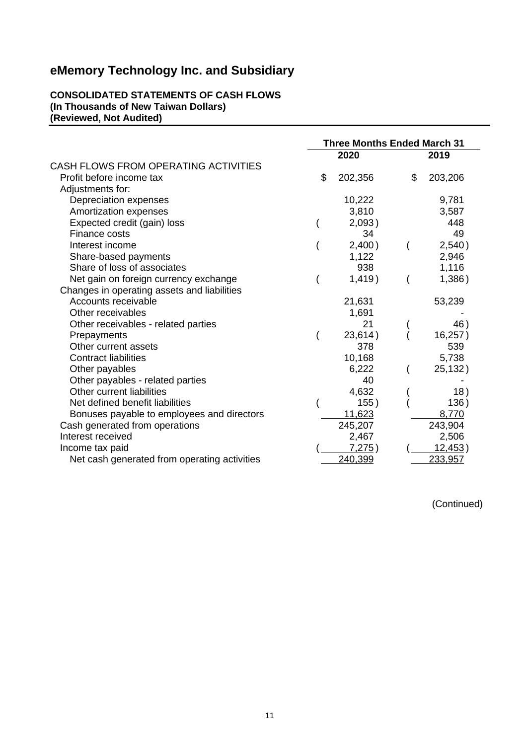#### **CONSOLIDATED STATEMENTS OF CASH FLOWS (In Thousands of New Taiwan Dollars) (Reviewed, Not Audited)**

|                                              | <b>Three Months Ended March 31</b> |               |
|----------------------------------------------|------------------------------------|---------------|
|                                              | 2020                               | 2019          |
| CASH FLOWS FROM OPERATING ACTIVITIES         |                                    |               |
| Profit before income tax                     | \$<br>202,356                      | \$<br>203,206 |
| Adjustments for:                             |                                    |               |
| Depreciation expenses                        | 10,222                             | 9,781         |
| Amortization expenses                        | 3,810                              | 3,587         |
| Expected credit (gain) loss                  | 2,093)                             | 448           |
| Finance costs                                | 34                                 | 49            |
| Interest income                              | 2,400)                             | 2,540)        |
| Share-based payments                         | 1,122                              | 2,946         |
| Share of loss of associates                  | 938                                | 1,116         |
| Net gain on foreign currency exchange        | 1,419)                             | 1,386)        |
| Changes in operating assets and liabilities  |                                    |               |
| Accounts receivable                          | 21,631                             | 53,239        |
| Other receivables                            | 1,691                              |               |
| Other receivables - related parties          | 21                                 | 46)           |
| Prepayments                                  | 23,614)                            | 16,257)       |
| Other current assets                         | 378                                | 539           |
| <b>Contract liabilities</b>                  | 10,168                             | 5,738         |
| Other payables                               | 6,222                              | 25,132)       |
| Other payables - related parties             | 40                                 |               |
| Other current liabilities                    | 4,632                              | 18)           |
| Net defined benefit liabilities              | 155)                               | 136)          |
| Bonuses payable to employees and directors   | 11,623                             | 8,770         |
| Cash generated from operations               | 245,207                            | 243,904       |
| Interest received                            | 2,467                              | 2,506         |
| Income tax paid                              | 7,275)                             | 12,453)       |
| Net cash generated from operating activities | 240,399                            | 233,957       |

(Continued)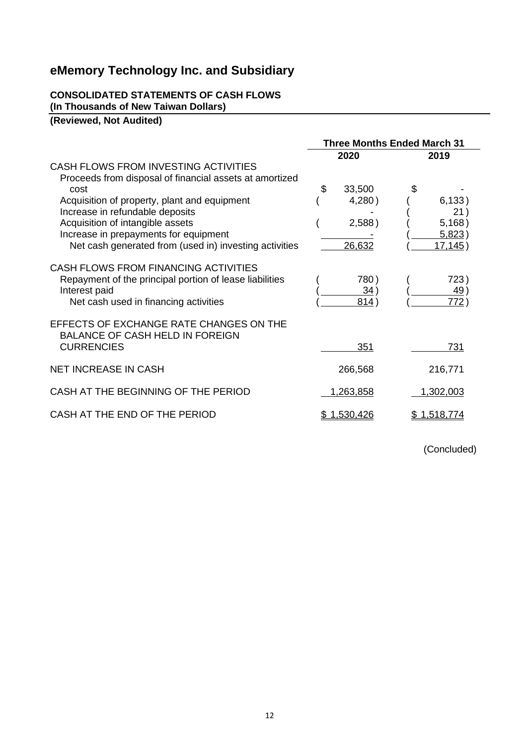## **CONSOLIDATED STATEMENTS OF CASH FLOWS**

**(In Thousands of New Taiwan Dollars)**

**(Reviewed, Not Audited)**

|                                                         |                  | <b>Three Months Ended March 31</b> |
|---------------------------------------------------------|------------------|------------------------------------|
|                                                         | 2020             | 2019                               |
| CASH FLOWS FROM INVESTING ACTIVITIES                    |                  |                                    |
| Proceeds from disposal of financial assets at amortized |                  |                                    |
| cost                                                    | 33,500<br>\$     |                                    |
| Acquisition of property, plant and equipment            | 4,280)           | 6,133)                             |
| Increase in refundable deposits                         |                  | 21)                                |
| Acquisition of intangible assets                        | 2,588)           | 5,168)                             |
| Increase in prepayments for equipment                   |                  | 5,823)                             |
| Net cash generated from (used in) investing activities  | 26,632           | 17, 145)                           |
| CASH FLOWS FROM FINANCING ACTIVITIES                    |                  |                                    |
| Repayment of the principal portion of lease liabilities | 780)             | 723)                               |
| Interest paid                                           | 34)              | 49)                                |
| Net cash used in financing activities                   | 814)             | 772)                               |
| EFFECTS OF EXCHANGE RATE CHANGES ON THE                 |                  |                                    |
| <b>BALANCE OF CASH HELD IN FOREIGN</b>                  |                  |                                    |
| <b>CURRENCIES</b>                                       | 351              | 731                                |
| <b>NET INCREASE IN CASH</b>                             | 266,568          | 216,771                            |
| CASH AT THE BEGINNING OF THE PERIOD                     | <u>1,263,858</u> | 1,302,003                          |
|                                                         |                  |                                    |
| CASH AT THE END OF THE PERIOD                           | \$1,530,426      | <u>\$1,518,774</u>                 |
|                                                         |                  |                                    |

(Concluded)